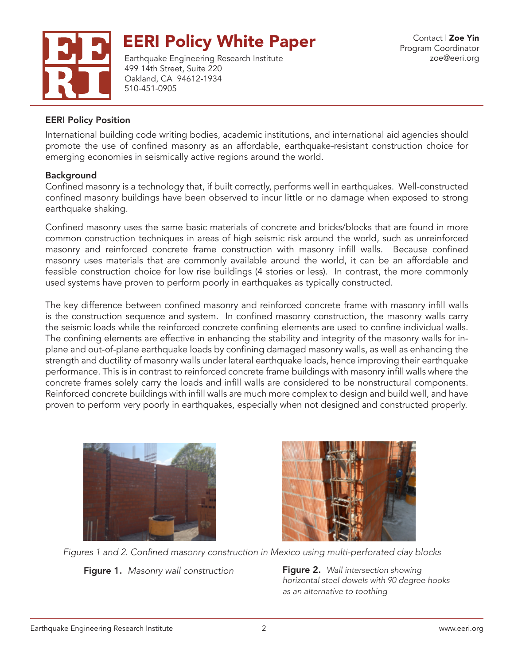

Earthquake Engineering Research Institute 499 14th Street, Suite 220 Oakland, CA 94612-1934 510-451-0905

### EERI Policy Position

International building code writing bodies, academic institutions, and international aid agencies should promote the use of confined masonry as an affordable, earthquake-resistant construction choice for emerging economies in seismically active regions around the world.

#### Background

Confined masonry is a technology that, if built correctly, performs well in earthquakes. Well-constructed confined masonry buildings have been observed to incur little or no damage when exposed to strong earthquake shaking.

Confined masonry uses the same basic materials of concrete and bricks/blocks that are found in more common construction techniques in areas of high seismic risk around the world, such as unreinforced masonry and reinforced concrete frame construction with masonry infill walls. Because confined masonry uses materials that are commonly available around the world, it can be an affordable and feasible construction choice for low rise buildings (4 stories or less). In contrast, the more commonly used systems have proven to perform poorly in earthquakes as typically constructed.

The key difference between confined masonry and reinforced concrete frame with masonry infill walls is the construction sequence and system. In confined masonry construction, the masonry walls carry the seismic loads while the reinforced concrete confining elements are used to confine individual walls. The confining elements are effective in enhancing the stability and integrity of the masonry walls for inplane and out-of-plane earthquake loads by confining damaged masonry walls, as well as enhancing the strength and ductility of masonry walls under lateral earthquake loads, hence improving their earthquake performance. This is in contrast to reinforced concrete frame buildings with masonry infill walls where the concrete frames solely carry the loads and infill walls are considered to be nonstructural components. Reinforced concrete buildings with infill walls are much more complex to design and build well, and have proven to perform very poorly in earthquakes, especially when not designed and constructed properly.





Figures 1 and 2. Confined masonry construction in Mexico using multi-perforated clay blocks

Figure 1. Masonry wall construction **Figure 2.** Wall intersection showing

*horizontal steel dowels with 90 degree hooks as an alternative to toothing*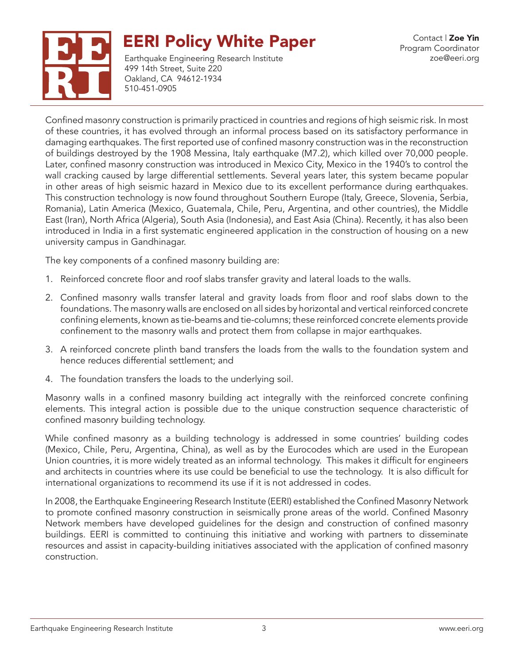



Earthquake Engineering Research Institute 499 14th Street, Suite 220 Oakland, CA 94612-1934 510-451-0905

Confined masonry construction is primarily practiced in countries and regions of high seismic risk. In most of these countries, it has evolved through an informal process based on its satisfactory performance in damaging earthquakes. The first reported use of confined masonry construction was in the reconstruction of buildings destroyed by the 1908 Messina, Italy earthquake (M7.2), which killed over 70,000 people. Later, confined masonry construction was introduced in Mexico City, Mexico in the 1940's to control the wall cracking caused by large differential settlements. Several years later, this system became popular in other areas of high seismic hazard in Mexico due to its excellent performance during earthquakes. This construction technology is now found throughout Southern Europe (Italy, Greece, Slovenia, Serbia, Romania), Latin America (Mexico, Guatemala, Chile, Peru, Argentina, and other countries), the Middle East (Iran), North Africa (Algeria), South Asia (Indonesia), and East Asia (China). Recently, it has also been introduced in India in a first systematic engineered application in the construction of housing on a new university campus in Gandhinagar.

The key components of a confined masonry building are:

- 1. Reinforced concrete floor and roof slabs transfer gravity and lateral loads to the walls.
- 2. Confined masonry walls transfer lateral and gravity loads from floor and roof slabs down to the foundations. The masonry walls are enclosed on all sides by horizontal and vertical reinforced concrete confining elements, known as tie-beams and tie-columns; these reinforced concrete elements provide confinement to the masonry walls and protect them from collapse in major earthquakes.
- 3. A reinforced concrete plinth band transfers the loads from the walls to the foundation system and hence reduces differential settlement; and
- 4. The foundation transfers the loads to the underlying soil.

Masonry walls in a confined masonry building act integrally with the reinforced concrete confining elements. This integral action is possible due to the unique construction sequence characteristic of confined masonry building technology.

While confined masonry as a building technology is addressed in some countries' building codes (Mexico, Chile, Peru, Argentina, China), as well as by the Eurocodes which are used in the European Union countries, it is more widely treated as an informal technology. This makes it difficult for engineers and architects in countries where its use could be beneficial to use the technology. It is also difficult for international organizations to recommend its use if it is not addressed in codes.

In 2008, the Earthquake Engineering Research Institute (EERI) established the Confined Masonry Network to promote confined masonry construction in seismically prone areas of the world. Confined Masonry Network members have developed guidelines for the design and construction of confined masonry buildings. EERI is committed to continuing this initiative and working with partners to disseminate resources and assist in capacity-building initiatives associated with the application of confined masonry construction.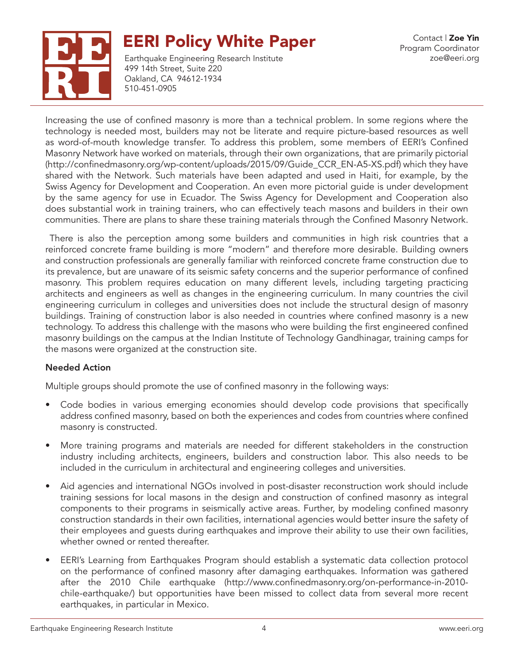



Earthquake Engineering Research Institute 499 14th Street, Suite 220 Oakland, CA 94612-1934 510-451-0905

Increasing the use of confined masonry is more than a technical problem. In some regions where the technology is needed most, builders may not be literate and require picture-based resources as well as word-of-mouth knowledge transfer. To address this problem, some members of EERI's Confined Masonry Network have worked on materials, through their own organizations, that are primarily pictorial (http://confinedmasonry.org/wp-content/uploads/2015/09/Guide\_CCR\_EN-A5-XS.pdf) which they have shared with the Network. Such materials have been adapted and used in Haiti, for example, by the Swiss Agency for Development and Cooperation. An even more pictorial guide is under development by the same agency for use in Ecuador. The Swiss Agency for Development and Cooperation also does substantial work in training trainers, who can effectively teach masons and builders in their own communities. There are plans to share these training materials through the Confined Masonry Network.

 There is also the perception among some builders and communities in high risk countries that a reinforced concrete frame building is more "modern" and therefore more desirable. Building owners and construction professionals are generally familiar with reinforced concrete frame construction due to its prevalence, but are unaware of its seismic safety concerns and the superior performance of confined masonry. This problem requires education on many different levels, including targeting practicing architects and engineers as well as changes in the engineering curriculum. In many countries the civil engineering curriculum in colleges and universities does not include the structural design of masonry buildings. Training of construction labor is also needed in countries where confined masonry is a new technology. To address this challenge with the masons who were building the first engineered confined masonry buildings on the campus at the Indian Institute of Technology Gandhinagar, training camps for the masons were organized at the construction site.

### Needed Action

Multiple groups should promote the use of confined masonry in the following ways:

- Code bodies in various emerging economies should develop code provisions that specifically address confined masonry, based on both the experiences and codes from countries where confined masonry is constructed.
- More training programs and materials are needed for different stakeholders in the construction industry including architects, engineers, builders and construction labor. This also needs to be included in the curriculum in architectural and engineering colleges and universities.
- Aid agencies and international NGOs involved in post-disaster reconstruction work should include training sessions for local masons in the design and construction of confined masonry as integral components to their programs in seismically active areas. Further, by modeling confined masonry construction standards in their own facilities, international agencies would better insure the safety of their employees and guests during earthquakes and improve their ability to use their own facilities, whether owned or rented thereafter.
- EERI's Learning from Earthquakes Program should establish a systematic data collection protocol on the performance of confined masonry after damaging earthquakes. Information was gathered after the 2010 Chile earthquake (http://www.confinedmasonry.org/on-performance-in-2010 chile-earthquake/) but opportunities have been missed to collect data from several more recent earthquakes, in particular in Mexico.